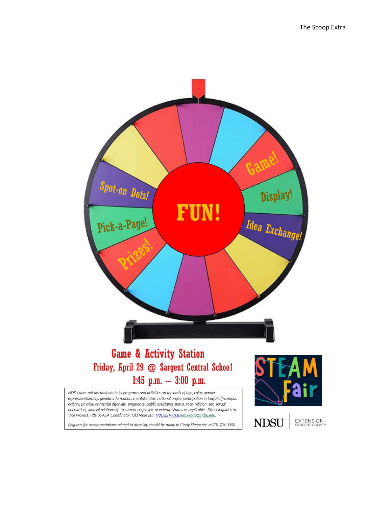

## **Game & Activity Station** Friday, April 29 @ Sargent Central School 1:45 p.m.  $-3:00$  p.m.

NDSU does not discriminate in its programs and activities on the basis of age, color, gender expression/identity, genetic information, marital status, national origin, participation in lawful off-campus activity, physical or mental disability, pregnancy, public assistance status, race, religion, sex, sexual orientation, spousal relationship to current employee, or veteran status, as applicable. Direct inquiries to Vice Provost, Title IX/ADA Coordinator, Old Main 201, (701) 231-7708,ndsu.eoaa@ndsu.edu.

Requests for accommodations related to disability should be made to Cindy Klapperich at 701-724-3355